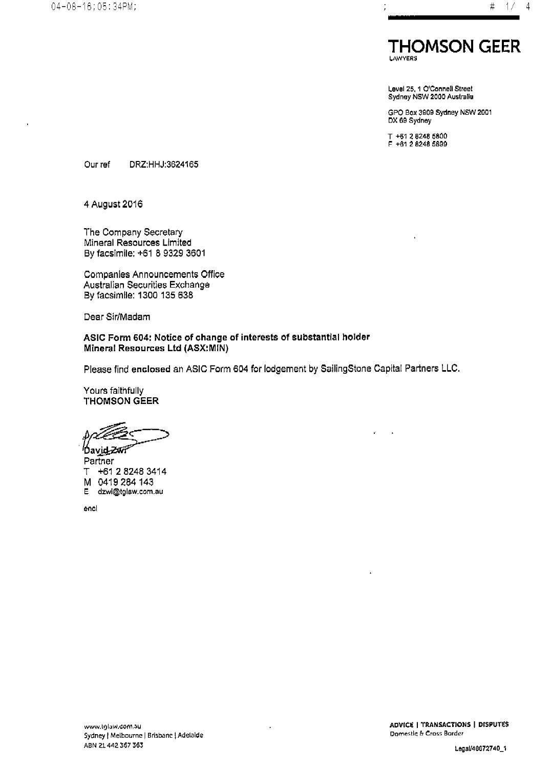

Level 25, 1 O'Connell Street<br>Sydney NSW 2000 Australia

GPO Box 3909 Sydney NSW 2001 DX 69 Sydney

T +61 2 8248 5800<br>F +61 2 8248 5899

Our ref DRZ:HHJ:3624165

4 August 2016

The Company Secretary Mineral Resources Limited By facsimile: +61 8 9329 3601

Companies Announcements Office Australian Securities Exchange By facsimile: 1300 135 638

Dear Sir/Madam

ASIC Form 604: Notice of change of interests of substantial holder Mineral Resources Ltd (ASX:MIN)

Please find enclosed an ASIC Form 604 for lodgement by SailingStone Capital Partners LLC.

Yours faithfully **THOMSON GEER** 

′Dav<u>id</u>-Zvn Partner T +61 2 8248 3414 M 0419 284 143 dzwi@tglaw.com.au E.

encl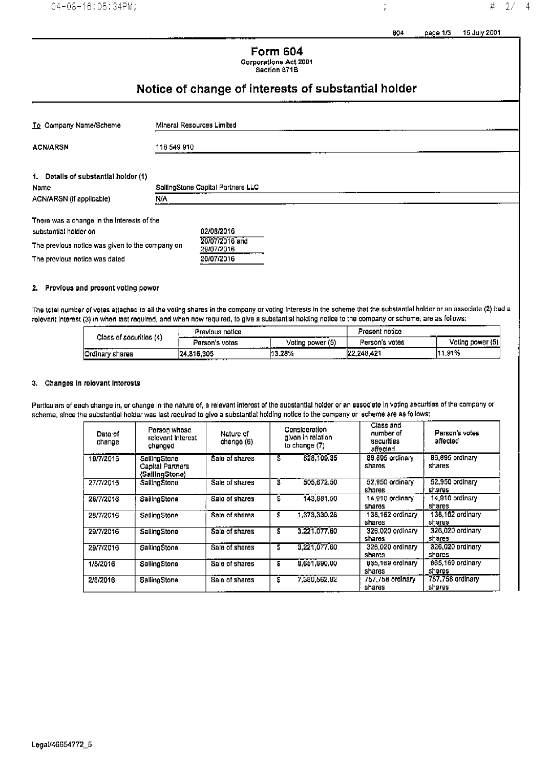15 July 2001 604 page 1/3

 $\frac{1}{2}$ 

## **Form 604 Corporations Act 2001**

Soction 671B

## Notice of change of interests of substantial holder

| To Company Name/Scheme                          | Mineral Resources Limited         |  |  |  |  |
|-------------------------------------------------|-----------------------------------|--|--|--|--|
| <b>ACN/ARSN</b>                                 | 118 549 910                       |  |  |  |  |
| 1. Dotalls of substantial holder (1)            |                                   |  |  |  |  |
| Neme                                            | SailingStone Capital Partners LLC |  |  |  |  |
| ACN/ARSN (if applicable)                        | N/A                               |  |  |  |  |
| There was a change in the interests of the      |                                   |  |  |  |  |
| substantial holder on                           | 02/08/2016                        |  |  |  |  |
| The previous notice was given to the company on | 20/07/2016 and<br>20/07/2018      |  |  |  |  |

The previous notice was dated

## 2. Provious and present voting power

The total number of votes attached to all the voting shares in the company or voting interests in the scheme that the substantial holder or an associate (2) had a relevant interest (3) in when last required, and when now required, to give a substantial holding notice to the company or schome, are as follows:

20/07/2016

|                         | Previous notice     |                         | Present notico<br>-- |                  |
|-------------------------|---------------------|-------------------------|----------------------|------------------|
| Class of securities (4) | Person's votas<br>. | ___<br>Voting power (5) | Person's votes       | Voting power (5) |
| lOrdinary shares        | 24.816.305<br>---   | 13.28%                  | 22.248.421           | 1,91%<br>14 A    |

### 3. Changes in relevant interests

Particulars of each change in, or change in the nature of, a relevant interest of the substantial holder or an associate in voting securities of the company or scheme, since the substantial holder was last required to give a substantial holding notice to the company or scheme are as follows:

| Date of<br>change | Person whose<br>relevant Interest<br>channed              | Nature of<br>change (6) |   | Consideration<br>given in relation<br>to change (7) | Class and<br>number of<br>securities<br>affected | Person's votes<br>affected |
|-------------------|-----------------------------------------------------------|-------------------------|---|-----------------------------------------------------|--------------------------------------------------|----------------------------|
| 19/7/2016         | SailingStone<br><b>Capital Partners</b><br>(SallingStone) | Sale of shares          | S | 828,109,35                                          | 86,895 ordinary<br>shares                        | 86,895 ordinary<br>shares  |
| 27/7/2016         | SailingStone                                              | Sale of shares          | S | 505,672.50                                          | 52.950 ordinary<br>shares                        | 52,950 ordinary<br>shares  |
| 28/7/2016         | SaillnoStone                                              | Sale of shares          | S | 143,881.50                                          | 14,910 ordinary<br>shares                        | 14.910 ordinary<br>shares  |
| 28/7/2016         | SailingStone                                              | Sale of shares          | 5 | 1373,330.28                                         | 138,162 ordinary<br>shares                       | 138.162 ordinary<br>shares |
| 29/7/2016         | SailingStone                                              | Sale of sharos          | s | 3.221.077.60                                        | 326,020 ordinary<br>shares                       | 326.020 ordinary<br>shares |
| 29/7/2016         | SallingStone                                              | Sale of shares          | 5 | 3.221.077.60                                        | 326,020 ordinary<br>shares                       | 326.020 ordinary<br>shares |
| 1/8/2016          | SallingStone                                              | Sale of shares          | s | 8.651.690.00                                        | 865,169 ordinary<br>shares                       | 865.169 ordinary<br>shares |
| 2/3/2016          | SallingStone                                              | Sale of shares          | s | 7,380,562.92                                        | 757,758 ordinary<br>shares                       | 757,758 ordinary<br>shares |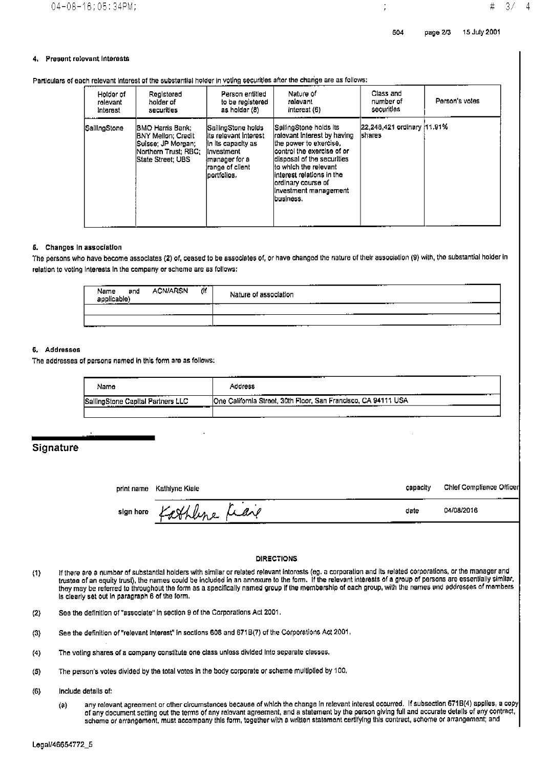#### **Present relevant Interests** 4.

| Particulars of each relevant interest of the substantial holder in voting securities after the change are as follows: |  |  |
|-----------------------------------------------------------------------------------------------------------------------|--|--|
|                                                                                                                       |  |  |

| Holder of    | Registored                                                                                                                     | Person entitled                                                                                                                               | Nature of                                                                                                                                                                                                                                                              | Class and                                    | Person's votes |
|--------------|--------------------------------------------------------------------------------------------------------------------------------|-----------------------------------------------------------------------------------------------------------------------------------------------|------------------------------------------------------------------------------------------------------------------------------------------------------------------------------------------------------------------------------------------------------------------------|----------------------------------------------|----------------|
| rolevant     | holder of                                                                                                                      | to be registered                                                                                                                              | ralovant                                                                                                                                                                                                                                                               | number of                                    |                |
| Interest     | securities                                                                                                                     | as holder (8)                                                                                                                                 | interest (6)                                                                                                                                                                                                                                                           | securities                                   |                |
| SailingStone | IBMO Harris Bank:<br><b>IBNY Mellon: Credit</b><br> Suisse: JP Morgan; i<br> Northorn Trust: RBC:<br><b>IState Street: UBS</b> | <b>ISailingStone holds</b><br>lits relevant Interest<br>In its capacity as<br>Investment<br>imanager for a<br>range of client<br>lportfolios. | SeilingStone holds its<br>irelevant interest by having<br>lthe power to exercise.<br>lcontrol the exercise of or<br>ldisposal of the securities<br>lto which the relevant<br>linterest relations in the<br>lordinary course of<br>linvestment management<br>lbusiness. | 22,248,421 ordinary 11.91%<br><b>Ishares</b> |                |

#### 5. Changes in association

The persons who have become associates (2) of, ceased to be associates of, or have changed the nature of their association (9) with, the substantial holder in relation to voting Interests in the company or scheme are as follows:

| ---<br>-----<br>(If<br>ACN/ARSN<br>Name<br>and<br>applicable)<br>-------- | ----<br>------<br>Nature of association<br>-------<br>----- |
|---------------------------------------------------------------------------|-------------------------------------------------------------|
| .                                                                         | _____<br>.                                                  |
|                                                                           | .<br>__                                                     |

#### 6. Addresses

The addresses of persons named in this form are as follows:

| .<br>Namo                                               | -----<br>____<br>Address<br>.<br>.<br>__                                                                                         |
|---------------------------------------------------------|----------------------------------------------------------------------------------------------------------------------------------|
| ____<br>SallingStone Capital Partners LLC<br>---------- | One California Street, 30th Floor, San Francisco, CA 94111 USA<br><b><i><u><u>ALL ALEXANDER COMMUNIST</u>ION</u></i></b><br>____ |
|                                                         |                                                                                                                                  |

## Signature

print name Kathlyne Kiale

Chief Compliance Officer capacity

04/08/2016

date

sign horo

# athline Leave

### **DIRECTIONS**

- If there are a number of substantial holders with similar or related relavant interests (eg. a corporation and its related corporations, or the manager and  $(1)$ trustee of an equity trust), the names could be included in an annoxure to the form. If the relevant interests of a group of persons are essentially similar, they may be referred to throughout the form as a specifically named group if the membership of each group, with the names and addresses of mombers is clearly set out in paragraph 6 of the form.
- See the definition of "associate" in section 9 of the Corporations Act 2001.  $(2)$
- See the definition of "relevant interest" in soctions 608 and 671B(7) of the Corporations Act 2001.  $(3)$
- The voting shares of a company constitute one class unless divided into separate classes.  $(4)$
- The person's votes divided by the total votes in the body corporate or scheme multiplied by 100.  $(5)$
- $(6)$ Include details of:
	- any relevant agreement or other circumstances because of which the change in relevant interest occurred. If subsection 671B(4) applies, a copy  $(9)$ of any document setting out the terms of any relovant agreement, and a statement by the person giving full and accurate details of any contract, scheme or arrangement, must accompany this form, together with a written statement certifying this contract, scheme or arrangement; and